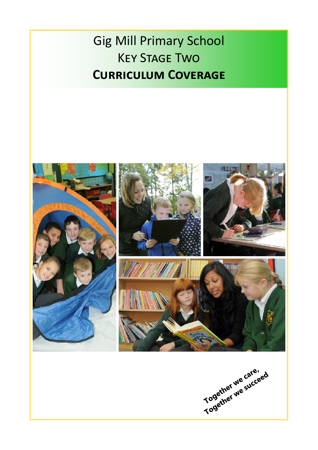## Gig Mill Primary School Key Stage Two **Curriculum Coverage**

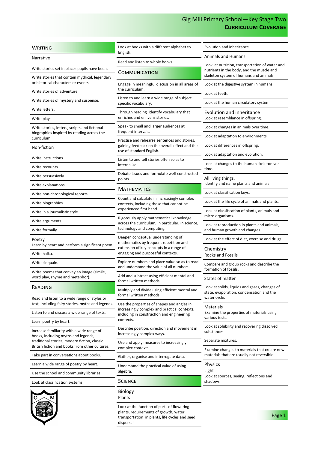## Gig Mill Primary School—Key Stage Two **Curriculum Coverage**

| <b>WRITING</b>                                                                                 | Look at books with a different alphabet to<br>English.                                                                                | Evolution and inheritance.                                                                  |
|------------------------------------------------------------------------------------------------|---------------------------------------------------------------------------------------------------------------------------------------|---------------------------------------------------------------------------------------------|
| Narrative                                                                                      | Read and listen to whole books.                                                                                                       | <b>Animals and Humans</b>                                                                   |
| Write stories set in places pupils have been.                                                  | COMMUNICATION                                                                                                                         | Look at nutrition, transportation of water and<br>nutrients in the body, and the muscle and |
| Write stories that contain mythical, legendary<br>or historical characters or events.          | Engage in meaningful discussion in all areas of                                                                                       | skeleton system of humans and animals.<br>Look at the digestive system in humans.           |
| Write stories of adventure.                                                                    | the curriculum.                                                                                                                       | Look at teeth.                                                                              |
| Write stories of mystery and suspense.                                                         | Listen to and learn a wide range of subject                                                                                           | Look at the human circulatory system.                                                       |
| Write letters.                                                                                 | specific vocabulary.                                                                                                                  |                                                                                             |
| Write plays.                                                                                   | Through reading identify vocabulary that<br>enriches and enlivens stories.                                                            | Evolution and inheritance<br>Look at resemblance in offspring.                              |
| Write stories, letters, scripts and fictional                                                  | Speak to small and larger audiences at                                                                                                | Look at changes in animals over time.                                                       |
| biographies inspired by reading across the<br>curriculum.                                      | frequent intervals.<br>Practise and rehearse sentences and stories,                                                                   | Look at adaptation to environments.                                                         |
| Non-fiction                                                                                    | gaining feedback on the overall effect and the                                                                                        | Look at differences in offspring.                                                           |
| Write instructions.                                                                            | use of standard English.                                                                                                              | Look at adaptation and evolution.                                                           |
| Write recounts.                                                                                | Listen to and tell stories often so as to<br>internalise.                                                                             | Look at changes to the human skeleton ver<br>time.                                          |
| Write persuasively.                                                                            | Debate issues and formulate well-constructed<br>points.                                                                               | All living things.                                                                          |
| Write explanations.                                                                            | MATHEMATICS                                                                                                                           | Identify and name plants and animals.                                                       |
| Write non-chronological reports.                                                               |                                                                                                                                       | Look at classification keys.                                                                |
| Write biographies.                                                                             | Count and calculate in increasingly complex<br>contexts, including those that cannot be                                               | Look at the life cycle of animals and plants.                                               |
| Write in a journalistic style.                                                                 | experienced first hand.                                                                                                               | Look at classification of plants, animals and<br>micro organisms.                           |
| Write arguments.                                                                               | Rigorously apply mathematical knowledge<br>across the curriculum, in particular, in science,                                          | Look at reproduction in plants and animals,<br>and human growth and changes.                |
| Write formally.                                                                                | technology and computing.                                                                                                             |                                                                                             |
| Poetry<br>Learn by heart and perform a significant poem.                                       | Deepen conceptual understanding of<br>mathematics by frequent repetition and                                                          | Look at the effect of diet, exercise and drugs.                                             |
| Write haiku.                                                                                   | extension of key concepts in a range of<br>engaging and purposeful contexts.                                                          | Chemistry<br><b>Rocks and Fossils</b>                                                       |
| Write cinquain.                                                                                | Explore numbers and place value so as to read<br>and understand the value of all numbers.                                             | Compare and group rocks and describe the<br>formation of fossils.                           |
| Write poems that convey an image (simile,<br>word play, rhyme and metaphor).                   | Add and subtract using efficient mental and                                                                                           | States of matter                                                                            |
| READING                                                                                        | formal written methods.<br>Multiply and divide using efficient mental and                                                             | Look at solids, liquids and gases, changes of                                               |
| Read and listen to a wide range of styles or                                                   | formal written methods.                                                                                                               | state, evaporation, condensation and the<br>water cycle.                                    |
| text, including fairy stories, myths and legends.                                              | Use the properties of shapes and angles in                                                                                            | Materials<br>Examine the properties of materials using                                      |
| Listen to and discuss a wide range of texts.                                                   | increasingly complex and practical contexts,<br>including in construction and engineering                                             |                                                                                             |
| Learn poetry by heart.                                                                         | contexts.                                                                                                                             | various tests.<br>Look at solubility and recovering dissolved                               |
| Increase familiarity with a wide range of<br>books, including myths and legends,               | Describe position, direction and movement in<br>increasingly complex ways.                                                            | substances.                                                                                 |
| traditional stories, modern fiction, classic<br>British fiction and books from other cultures. | Use and apply measures to increasingly<br>complex contexts.                                                                           | Separate mixtures.                                                                          |
| Take part in conversations about books.                                                        | Gather, organise and interrogate data.                                                                                                | Examine changes to materials that create new<br>materials that are usually not reversible.  |
| Learn a wide range of poetry by heart.                                                         | Understand the practical value of using                                                                                               | <b>Physics</b>                                                                              |
| Use the school and community libraries.                                                        | algebra.                                                                                                                              | Light<br>Look at sources, seeing, reflections and<br>shadows.                               |
| Look at classification systems.                                                                | <b>SCIENCE</b>                                                                                                                        |                                                                                             |
| G                                                                                              | <b>Biology</b><br>Plants                                                                                                              |                                                                                             |
|                                                                                                | Look at the function of parts of flowering<br>plants, requirements of growth, water<br>transportation in plants, life cycles and seed | Page 1                                                                                      |

dispersal.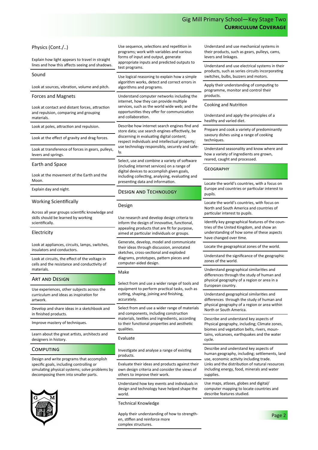## Gig Mill Primary School—Key Stage Two **Curriculum Coverage**

| Physics (Cont./)<br>Explain how light appears to travel in straight                                                                                                             | Use sequence, selections and repetition in<br>programs; work with variables and various<br>forms of input and output, generate<br>appropriate inputs and predicted outputs to<br>test programs.<br>Use logical reasoning to explain how a simple<br>algorithm works, detect and correct errors in<br>algorithms and programs.                                                                      | Understand and use mechanical systems in<br>their products, such as gears, pulleys, cams,<br>levers and linkages.                                                                                                                           |
|---------------------------------------------------------------------------------------------------------------------------------------------------------------------------------|----------------------------------------------------------------------------------------------------------------------------------------------------------------------------------------------------------------------------------------------------------------------------------------------------------------------------------------------------------------------------------------------------|---------------------------------------------------------------------------------------------------------------------------------------------------------------------------------------------------------------------------------------------|
| lines and how this affects seeing and shadows.                                                                                                                                  |                                                                                                                                                                                                                                                                                                                                                                                                    | Understand and use electrical systems in their<br>products, such as series circuits incorporating<br>switches, bulbs, buzzers and motors.<br>Apply their understanding of computing to<br>programme, monitor and control their<br>products. |
| Sound                                                                                                                                                                           |                                                                                                                                                                                                                                                                                                                                                                                                    |                                                                                                                                                                                                                                             |
| Look at sources, vibration, volume and pitch.                                                                                                                                   |                                                                                                                                                                                                                                                                                                                                                                                                    |                                                                                                                                                                                                                                             |
| <b>Forces and Magnets</b>                                                                                                                                                       | Understand computer networks including the<br>internet, how they can provide multiple<br>services, such as the world wide web; and the<br>opportunities they offer for communication<br>and collaboration.                                                                                                                                                                                         | Cooking and Nutrition                                                                                                                                                                                                                       |
| Look at contact and distant forces, attraction<br>and repulsion, comparing and grouping<br>materials.                                                                           |                                                                                                                                                                                                                                                                                                                                                                                                    | Understand and apply the principles of a<br>healthy and varied diet.                                                                                                                                                                        |
| Look at poles, attraction and repulsion.                                                                                                                                        | Describe how internet search engines find and<br>store data; use search engines effectively, be<br>discerning in evaluating digital content;<br>respect individuals and intellectual property;<br>use technology responsibly, securely and safe-<br>ly.<br>Select, use and combine a variety of software                                                                                           | Prepare and cook a variety of predominantly<br>savoury dishes using a range of cooking<br>techniques.                                                                                                                                       |
| Look at the effect of gravity and drag forces.                                                                                                                                  |                                                                                                                                                                                                                                                                                                                                                                                                    |                                                                                                                                                                                                                                             |
| Look at transference of forces in gears, pulleys,<br>levers and springs.                                                                                                        |                                                                                                                                                                                                                                                                                                                                                                                                    | Understand seasonality and know where and<br>how a variety of ingredients are grown,<br>reared, caught and processed.                                                                                                                       |
| Earth and Space                                                                                                                                                                 | (including internet services) on a range of<br>digital devices to accomplish given goals,                                                                                                                                                                                                                                                                                                          | <b>GEOGRAPHY</b>                                                                                                                                                                                                                            |
| Look at the movement of the Earth and the<br>Moon.                                                                                                                              | including collecting, analysing, evaluating and<br>presenting data and information.                                                                                                                                                                                                                                                                                                                |                                                                                                                                                                                                                                             |
| Explain day and night.                                                                                                                                                          | <b>DESIGN AND TECHNOLOGY</b>                                                                                                                                                                                                                                                                                                                                                                       | Locate the world's countries, with a focus on<br>Europe and countries or particular interest to<br>pupils.                                                                                                                                  |
| <b>Working Scientifically</b>                                                                                                                                                   | Design                                                                                                                                                                                                                                                                                                                                                                                             | Locate the world's countries, with focus on<br>North and South America and countries of                                                                                                                                                     |
| Across all year groups scientific knowledge and<br>skills should be learned by working<br>scientifically.                                                                       | Use research and develop design criteria to<br>inform the design of innovative, functional,<br>appealing products that are fit for purpose,<br>aimed at particular individuals or groups.<br>Generate, develop, model and communicate<br>their ideas through discussion, annotated<br>sketches, cross-sectional and exploded<br>diagrams, prototypes, pattern pieces and<br>computer-aided design. | particular interest to pupils.<br>Identify key geographical features of the coun-<br>tries of the United Kingdom, and show an<br>understanding of how some of these aspects<br>have changed over time.                                      |
| Electricity                                                                                                                                                                     |                                                                                                                                                                                                                                                                                                                                                                                                    |                                                                                                                                                                                                                                             |
| Look at appliances, circuits, lamps, switches,<br>insulators and conductors.                                                                                                    |                                                                                                                                                                                                                                                                                                                                                                                                    | Locate the geographical zones of the world.                                                                                                                                                                                                 |
| Look at circuits, the effect of the voltage in<br>cells and the resistance and conductivity of                                                                                  |                                                                                                                                                                                                                                                                                                                                                                                                    | Understand the significance of the geographic<br>zones of the world.                                                                                                                                                                        |
| materials.                                                                                                                                                                      | Make                                                                                                                                                                                                                                                                                                                                                                                               | Understand geographical similarities and<br>differences through the study of human and<br>physical geography of a region or area in a<br>European country.                                                                                  |
| <b>ART AND DESIGN</b>                                                                                                                                                           | Select from and use a wider range of tools and                                                                                                                                                                                                                                                                                                                                                     |                                                                                                                                                                                                                                             |
| Use experiences, other subjects across the<br>curriculum and ideas as inspiration for<br>artwork.                                                                               | equipment to perform practical tasks, such as<br>cutting, shaping, joining and finishing,<br>accurately.                                                                                                                                                                                                                                                                                           | Understand geographical similarities and<br>differences through the study of human and<br>physical geography of a region or area within<br>North or South America.                                                                          |
| Develop and share ideas in a sketchbook and<br>in finished products.                                                                                                            | Select from and use a wider range of materials<br>and components, including construction<br>materials, textiles and ingredients, according<br>to their functional properties and aesthetic<br>qualities.<br>biomes and vegetation belts, rivers, moun-<br>Evaluate<br>cycle.                                                                                                                       |                                                                                                                                                                                                                                             |
| Improve mastery of techniques.                                                                                                                                                  |                                                                                                                                                                                                                                                                                                                                                                                                    | Describe and understand key aspects of<br>Physical geography, including; Climate zones,                                                                                                                                                     |
| Learn about the great artists, architects and<br>designers in history.                                                                                                          |                                                                                                                                                                                                                                                                                                                                                                                                    | tains, volcanoes, earthquakes and the water                                                                                                                                                                                                 |
| <b>COMPUTING</b>                                                                                                                                                                | Investigate and analyse a range of existing                                                                                                                                                                                                                                                                                                                                                        | Describe and understand key aspects of<br>human geography, including; settlements, land                                                                                                                                                     |
| Design and write programs that accomplish<br>specific goals, including controlling or<br>simulating physical systems; solve problems by<br>decomposing them into smaller parts. | products.<br>Evaluate their ideas and products against their<br>own design criteria and consider the views of<br>others to improve their work.                                                                                                                                                                                                                                                     | use, economic activity including trade.<br>Links and the distribution of natural resources<br>including energy, food, minerals and water<br>supplies.                                                                                       |
|                                                                                                                                                                                 | Understand how key events and individuals in<br>design and technology have helped shape the<br>world.                                                                                                                                                                                                                                                                                              | Use maps, atlases, globes and digital/<br>computer mapping to locate countries and<br>describe features studied.                                                                                                                            |
|                                                                                                                                                                                 | <b>Technical Knowledge</b><br>Apply their understanding of how to strength-<br>an etiffen and reinferce mere                                                                                                                                                                                                                                                                                       | Page 2                                                                                                                                                                                                                                      |

Apply their understanding of how to strengthen, stiffen and reinforce more complex structures.